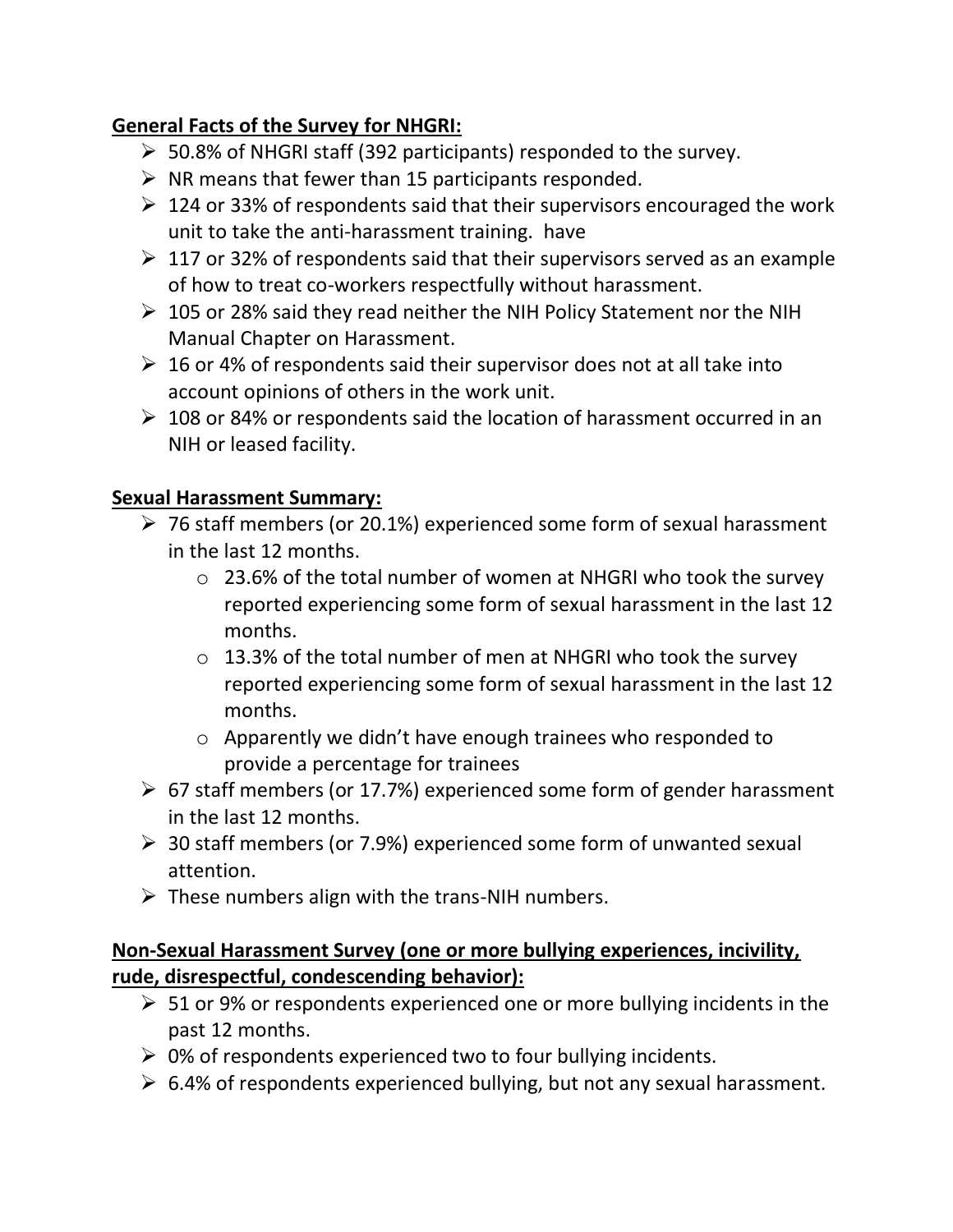# **General Facts of the Survey for NHGRI:**

- ➢ 50.8% of NHGRI staff (392 participants) responded to the survey.
- $\triangleright$  NR means that fewer than 15 participants responded.
- $\geq 124$  or 33% of respondents said that their supervisors encouraged the work unit to take the anti-harassment training. have
- $\geq 117$  or 32% of respondents said that their supervisors served as an example of how to treat co-workers respectfully without harassment.
- ➢ 105 or 28% said they read neither the NIH Policy Statement nor the NIH Manual Chapter on Harassment.
- $\geq 16$  or 4% of respondents said their supervisor does not at all take into account opinions of others in the work unit.
- ➢ 108 or 84% or respondents said the location of harassment occurred in an NIH or leased facility.

## **Sexual Harassment Summary:**

- ➢ 76 staff members (or 20.1%) experienced some form of sexual harassment in the last 12 months.
	- o 23.6% of the total number of women at NHGRI who took the survey reported experiencing some form of sexual harassment in the last 12 months.
	- o 13.3% of the total number of men at NHGRI who took the survey reported experiencing some form of sexual harassment in the last 12 months.
	- o Apparently we didn't have enough trainees who responded to provide a percentage for trainees
- ➢ 67 staff members (or 17.7%) experienced some form of gender harassment in the last 12 months.
- $\geq$  30 staff members (or 7.9%) experienced some form of unwanted sexual attention.
- $\triangleright$  These numbers align with the trans-NIH numbers.

## **Non-Sexual Harassment Survey (one or more bullying experiences, incivility, rude, disrespectful, condescending behavior):**

- ➢ 51 or 9% or respondents experienced one or more bullying incidents in the past 12 months.
- $\geq 0$ % of respondents experienced two to four bullying incidents.
- $\geq 6.4\%$  of respondents experienced bullying, but not any sexual harassment.